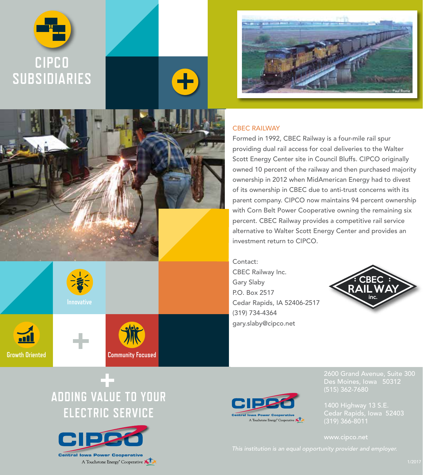



### CBEC RAILWAY

╋

Formed in 1992, CBEC Railway is a four-mile rail spur providing dual rail access for coal deliveries to the Walter Scott Energy Center site in Council Bluffs. CIPCO originally owned 10 percent of the railway and then purchased majority ownership in 2012 when MidAmerican Energy had to divest of its ownership in CBEC due to anti-trust concerns with its parent company. CIPCO now maintains 94 percent ownership with Corn Belt Power Cooperative owning the remaining six percent. CBEC Railway provides a competitive rail service alternative to Walter Scott Energy Center and provides an investment return to CIPCO.

Contact: CBEC Railway Inc. Gary Slaby P.O. Box 2517 Cedar Rapids, IA 52406-2517 (319) 734-4364 gary.slaby@cipco.net





**Growth Oriented**





**Community Focused**



Des Moines, Iowa 50312

Cedar Rapids, Iowa 52403 (319) 366-8011

# **ADDING VALUE TO YOUR ELECTRIC SERVICE**